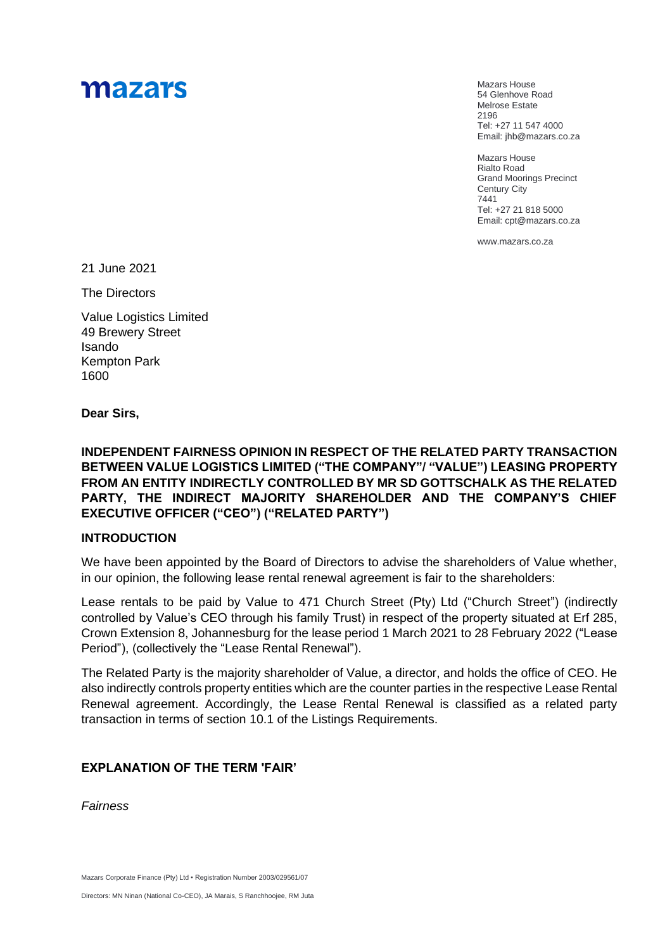# mazars

Mazars House 54 Glenhove Road Melrose Estate 2196 Tel: +27 11 547 4000 Email: jhb@mazars.co.za

Mazars House Rialto Road Grand Moorings Precinct Century City 7441 Tel: +27 21 818 5000 Email: cpt@mazars.co.za

[www.mazars.co.za](http://www.mazars.com/)

21 June 2021

The Directors

Value Logistics Limited 49 Brewery Street Isando Kempton Park 1600

**Dear Sirs,**

**INDEPENDENT FAIRNESS OPINION IN RESPECT OF THE RELATED PARTY TRANSACTION BETWEEN VALUE LOGISTICS LIMITED ("THE COMPANY"/ "VALUE") LEASING PROPERTY FROM AN ENTITY INDIRECTLY CONTROLLED BY MR SD GOTTSCHALK AS THE RELATED PARTY, THE INDIRECT MAJORITY SHAREHOLDER AND THE COMPANY'S CHIEF EXECUTIVE OFFICER ("CEO") ("RELATED PARTY")** 

#### **INTRODUCTION**

We have been appointed by the Board of Directors to advise the shareholders of Value whether, in our opinion, the following lease rental renewal agreement is fair to the shareholders:

Lease rentals to be paid by Value to 471 Church Street (Pty) Ltd ("Church Street") (indirectly controlled by Value's CEO through his family Trust) in respect of the property situated at Erf 285, Crown Extension 8, Johannesburg for the lease period 1 March 2021 to 28 February 2022 ("Lease Period"), (collectively the "Lease Rental Renewal").

The Related Party is the majority shareholder of Value, a director, and holds the office of CEO. He also indirectly controls property entities which are the counter parties in the respective Lease Rental Renewal agreement. Accordingly, the Lease Rental Renewal is classified as a related party transaction in terms of section 10.1 of the Listings Requirements.

## **EXPLANATION OF THE TERM 'FAIR'**

*Fairness*

Mazars Corporate Finance (Pty) Ltd • Registration Number 2003/029561/07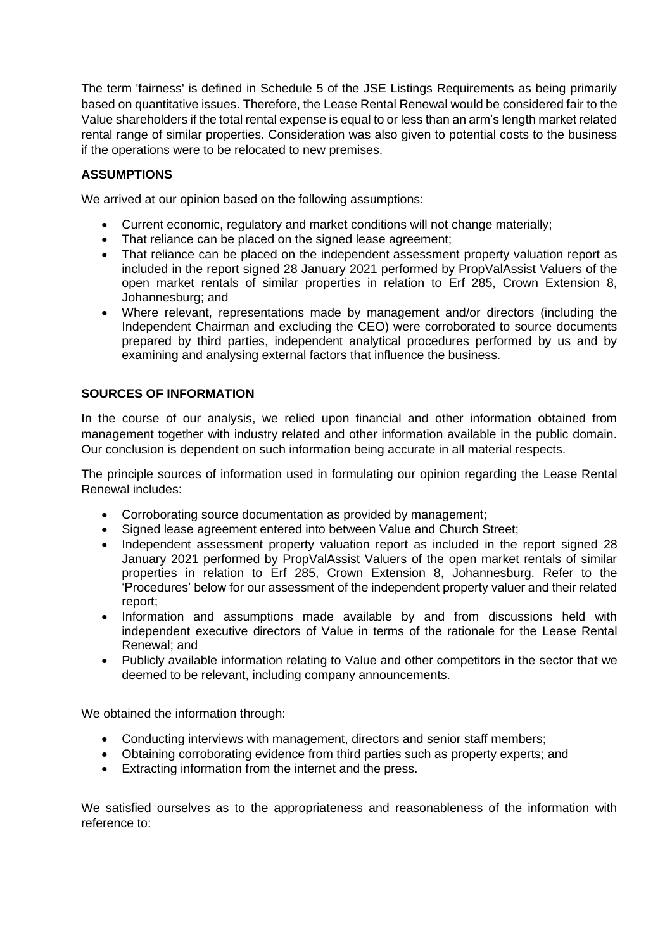The term 'fairness' is defined in Schedule 5 of the JSE Listings Requirements as being primarily based on quantitative issues. Therefore, the Lease Rental Renewal would be considered fair to the Value shareholders if the total rental expense is equal to or less than an arm's length market related rental range of similar properties. Consideration was also given to potential costs to the business if the operations were to be relocated to new premises.

# **ASSUMPTIONS**

We arrived at our opinion based on the following assumptions:

- Current economic, regulatory and market conditions will not change materially;
- That reliance can be placed on the signed lease agreement;
- That reliance can be placed on the independent assessment property valuation report as included in the report signed 28 January 2021 performed by PropValAssist Valuers of the open market rentals of similar properties in relation to Erf 285, Crown Extension 8, Johannesburg; and
- Where relevant, representations made by management and/or directors (including the Independent Chairman and excluding the CEO) were corroborated to source documents prepared by third parties, independent analytical procedures performed by us and by examining and analysing external factors that influence the business.

# **SOURCES OF INFORMATION**

In the course of our analysis, we relied upon financial and other information obtained from management together with industry related and other information available in the public domain. Our conclusion is dependent on such information being accurate in all material respects.

The principle sources of information used in formulating our opinion regarding the Lease Rental Renewal includes:

- Corroborating source documentation as provided by management;
- Signed lease agreement entered into between Value and Church Street;
- Independent assessment property valuation report as included in the report signed 28 January 2021 performed by PropValAssist Valuers of the open market rentals of similar properties in relation to Erf 285, Crown Extension 8, Johannesburg. Refer to the 'Procedures' below for our assessment of the independent property valuer and their related report;
- Information and assumptions made available by and from discussions held with independent executive directors of Value in terms of the rationale for the Lease Rental Renewal; and
- Publicly available information relating to Value and other competitors in the sector that we deemed to be relevant, including company announcements.

We obtained the information through:

- Conducting interviews with management, directors and senior staff members;
- Obtaining corroborating evidence from third parties such as property experts; and
- Extracting information from the internet and the press.

We satisfied ourselves as to the appropriateness and reasonableness of the information with reference to: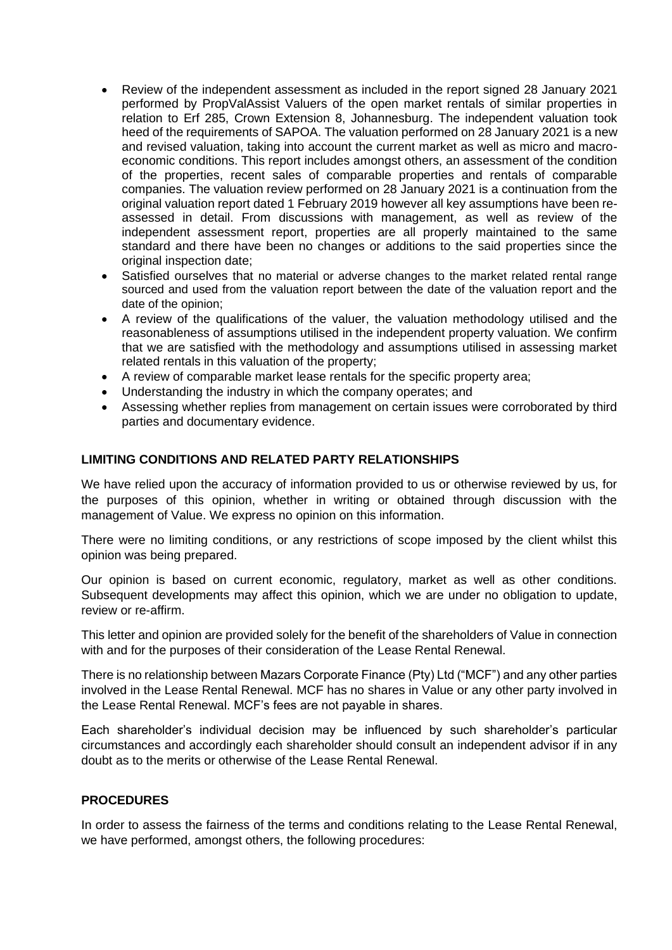- Review of the independent assessment as included in the report signed 28 January 2021 performed by PropValAssist Valuers of the open market rentals of similar properties in relation to Erf 285, Crown Extension 8, Johannesburg. The independent valuation took heed of the requirements of SAPOA. The valuation performed on 28 January 2021 is a new and revised valuation, taking into account the current market as well as micro and macroeconomic conditions. This report includes amongst others, an assessment of the condition of the properties, recent sales of comparable properties and rentals of comparable companies. The valuation review performed on 28 January 2021 is a continuation from the original valuation report dated 1 February 2019 however all key assumptions have been reassessed in detail. From discussions with management, as well as review of the independent assessment report, properties are all properly maintained to the same standard and there have been no changes or additions to the said properties since the original inspection date:
- Satisfied ourselves that no material or adverse changes to the market related rental range sourced and used from the valuation report between the date of the valuation report and the date of the opinion;
- A review of the qualifications of the valuer, the valuation methodology utilised and the reasonableness of assumptions utilised in the independent property valuation. We confirm that we are satisfied with the methodology and assumptions utilised in assessing market related rentals in this valuation of the property;
- A review of comparable market lease rentals for the specific property area;
- Understanding the industry in which the company operates; and
- Assessing whether replies from management on certain issues were corroborated by third parties and documentary evidence.

## **LIMITING CONDITIONS AND RELATED PARTY RELATIONSHIPS**

We have relied upon the accuracy of information provided to us or otherwise reviewed by us, for the purposes of this opinion, whether in writing or obtained through discussion with the management of Value. We express no opinion on this information.

There were no limiting conditions, or any restrictions of scope imposed by the client whilst this opinion was being prepared.

Our opinion is based on current economic, regulatory, market as well as other conditions. Subsequent developments may affect this opinion, which we are under no obligation to update, review or re-affirm.

This letter and opinion are provided solely for the benefit of the shareholders of Value in connection with and for the purposes of their consideration of the Lease Rental Renewal.

There is no relationship between Mazars Corporate Finance (Pty) Ltd ("MCF") and any other parties involved in the Lease Rental Renewal. MCF has no shares in Value or any other party involved in the Lease Rental Renewal. MCF's fees are not payable in shares.

Each shareholder's individual decision may be influenced by such shareholder's particular circumstances and accordingly each shareholder should consult an independent advisor if in any doubt as to the merits or otherwise of the Lease Rental Renewal.

#### **PROCEDURES**

In order to assess the fairness of the terms and conditions relating to the Lease Rental Renewal, we have performed, amongst others, the following procedures: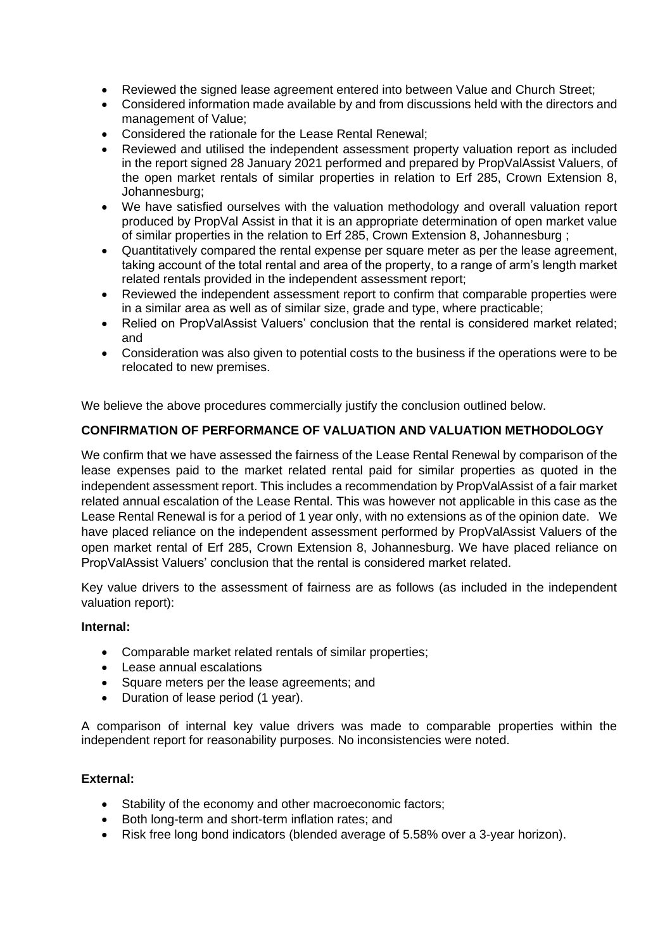- Reviewed the signed lease agreement entered into between Value and Church Street;
- Considered information made available by and from discussions held with the directors and management of Value;
- Considered the rationale for the Lease Rental Renewal;
- Reviewed and utilised the independent assessment property valuation report as included in the report signed 28 January 2021 performed and prepared by PropValAssist Valuers, of the open market rentals of similar properties in relation to Erf 285, Crown Extension 8, Johannesburg;
- We have satisfied ourselves with the valuation methodology and overall valuation report produced by PropVal Assist in that it is an appropriate determination of open market value of similar properties in the relation to Erf 285, Crown Extension 8, Johannesburg ;
- Quantitatively compared the rental expense per square meter as per the lease agreement, taking account of the total rental and area of the property, to a range of arm's length market related rentals provided in the independent assessment report;
- Reviewed the independent assessment report to confirm that comparable properties were in a similar area as well as of similar size, grade and type, where practicable;
- Relied on PropValAssist Valuers' conclusion that the rental is considered market related; and
- Consideration was also given to potential costs to the business if the operations were to be relocated to new premises.

We believe the above procedures commercially justify the conclusion outlined below.

# **CONFIRMATION OF PERFORMANCE OF VALUATION AND VALUATION METHODOLOGY**

We confirm that we have assessed the fairness of the Lease Rental Renewal by comparison of the lease expenses paid to the market related rental paid for similar properties as quoted in the independent assessment report. This includes a recommendation by PropValAssist of a fair market related annual escalation of the Lease Rental. This was however not applicable in this case as the Lease Rental Renewal is for a period of 1 year only, with no extensions as of the opinion date. We have placed reliance on the independent assessment performed by PropValAssist Valuers of the open market rental of Erf 285, Crown Extension 8, Johannesburg. We have placed reliance on PropValAssist Valuers' conclusion that the rental is considered market related.

Key value drivers to the assessment of fairness are as follows (as included in the independent valuation report):

## **Internal:**

- Comparable market related rentals of similar properties;
- Lease annual escalations
- Square meters per the lease agreements; and
- Duration of lease period (1 year).

A comparison of internal key value drivers was made to comparable properties within the independent report for reasonability purposes. No inconsistencies were noted.

## **External:**

- Stability of the economy and other macroeconomic factors;
- Both long-term and short-term inflation rates; and
- Risk free long bond indicators (blended average of 5.58% over a 3-year horizon).